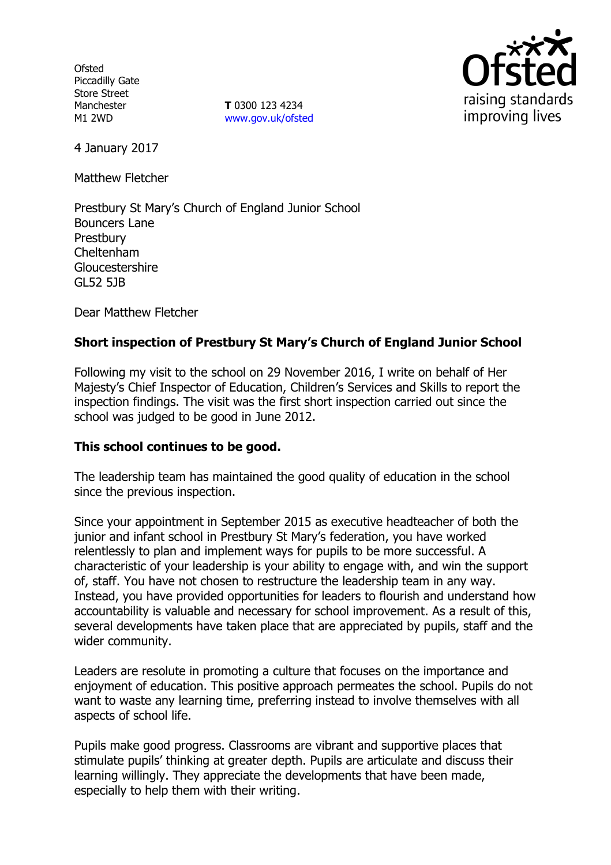**Ofsted** Piccadilly Gate Store Street Manchester M1 2WD

**T** 0300 123 4234 www.gov.uk/ofsted



4 January 2017

Matthew Fletcher

Prestbury St Mary's Church of England Junior School Bouncers Lane **Prestbury** Cheltenham Gloucestershire GL52 5JB

Dear Matthew Fletcher

### **Short inspection of Prestbury St Mary's Church of England Junior School**

Following my visit to the school on 29 November 2016, I write on behalf of Her Majesty's Chief Inspector of Education, Children's Services and Skills to report the inspection findings. The visit was the first short inspection carried out since the school was judged to be good in June 2012.

#### **This school continues to be good.**

The leadership team has maintained the good quality of education in the school since the previous inspection.

Since your appointment in September 2015 as executive headteacher of both the junior and infant school in Prestbury St Mary's federation, you have worked relentlessly to plan and implement ways for pupils to be more successful. A characteristic of your leadership is your ability to engage with, and win the support of, staff. You have not chosen to restructure the leadership team in any way. Instead, you have provided opportunities for leaders to flourish and understand how accountability is valuable and necessary for school improvement. As a result of this, several developments have taken place that are appreciated by pupils, staff and the wider community.

Leaders are resolute in promoting a culture that focuses on the importance and enjoyment of education. This positive approach permeates the school. Pupils do not want to waste any learning time, preferring instead to involve themselves with all aspects of school life.

Pupils make good progress. Classrooms are vibrant and supportive places that stimulate pupils' thinking at greater depth. Pupils are articulate and discuss their learning willingly. They appreciate the developments that have been made, especially to help them with their writing.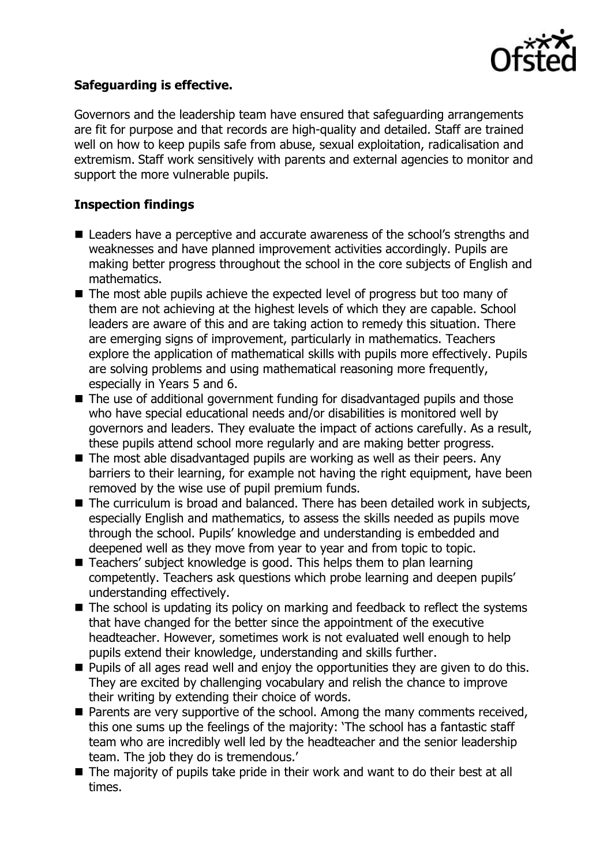

### **Safeguarding is effective.**

Governors and the leadership team have ensured that safeguarding arrangements are fit for purpose and that records are high-quality and detailed. Staff are trained well on how to keep pupils safe from abuse, sexual exploitation, radicalisation and extremism. Staff work sensitively with parents and external agencies to monitor and support the more vulnerable pupils.

## **Inspection findings**

- Leaders have a perceptive and accurate awareness of the school's strengths and weaknesses and have planned improvement activities accordingly. Pupils are making better progress throughout the school in the core subjects of English and mathematics.
- The most able pupils achieve the expected level of progress but too many of them are not achieving at the highest levels of which they are capable. School leaders are aware of this and are taking action to remedy this situation. There are emerging signs of improvement, particularly in mathematics. Teachers explore the application of mathematical skills with pupils more effectively. Pupils are solving problems and using mathematical reasoning more frequently, especially in Years 5 and 6.
- The use of additional government funding for disadvantaged pupils and those who have special educational needs and/or disabilities is monitored well by governors and leaders. They evaluate the impact of actions carefully. As a result, these pupils attend school more regularly and are making better progress.
- The most able disadvantaged pupils are working as well as their peers. Any barriers to their learning, for example not having the right equipment, have been removed by the wise use of pupil premium funds.
- The curriculum is broad and balanced. There has been detailed work in subjects, especially English and mathematics, to assess the skills needed as pupils move through the school. Pupils' knowledge and understanding is embedded and deepened well as they move from year to year and from topic to topic.
- Teachers' subject knowledge is good. This helps them to plan learning competently. Teachers ask questions which probe learning and deepen pupils' understanding effectively.
- $\blacksquare$  The school is updating its policy on marking and feedback to reflect the systems that have changed for the better since the appointment of the executive headteacher. However, sometimes work is not evaluated well enough to help pupils extend their knowledge, understanding and skills further.
- $\blacksquare$  Pupils of all ages read well and enjoy the opportunities they are given to do this. They are excited by challenging vocabulary and relish the chance to improve their writing by extending their choice of words.
- **Parents are very supportive of the school. Among the many comments received,** this one sums up the feelings of the majority: 'The school has a fantastic staff team who are incredibly well led by the headteacher and the senior leadership team. The job they do is tremendous.'
- The majority of pupils take pride in their work and want to do their best at all times.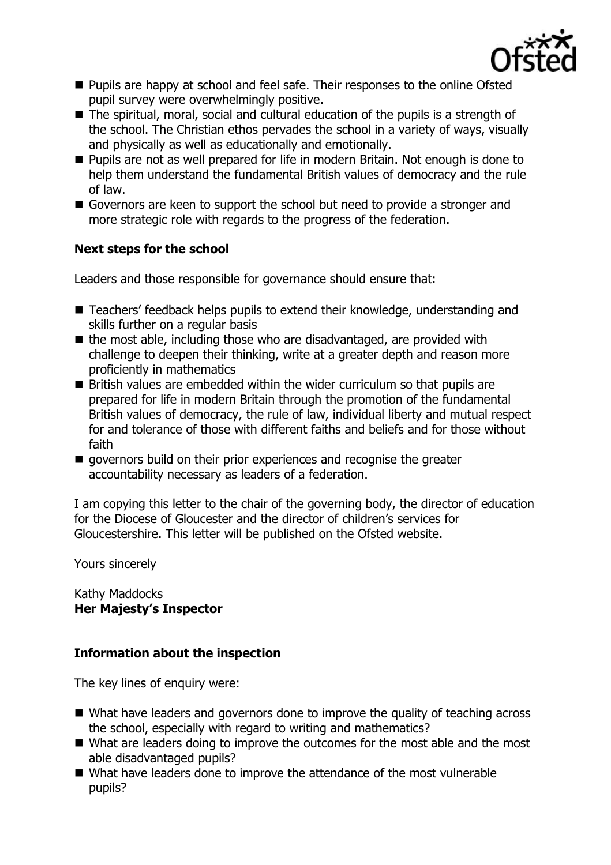

- **Pupils are happy at school and feel safe. Their responses to the online Ofsted** pupil survey were overwhelmingly positive.
- The spiritual, moral, social and cultural education of the pupils is a strength of the school. The Christian ethos pervades the school in a variety of ways, visually and physically as well as educationally and emotionally.
- Pupils are not as well prepared for life in modern Britain. Not enough is done to help them understand the fundamental British values of democracy and the rule of law.
- Governors are keen to support the school but need to provide a stronger and more strategic role with regards to the progress of the federation.

### **Next steps for the school**

Leaders and those responsible for governance should ensure that:

- Teachers' feedback helps pupils to extend their knowledge, understanding and skills further on a regular basis
- $\blacksquare$  the most able, including those who are disadvantaged, are provided with challenge to deepen their thinking, write at a greater depth and reason more proficiently in mathematics
- British values are embedded within the wider curriculum so that pupils are prepared for life in modern Britain through the promotion of the fundamental British values of democracy, the rule of law, individual liberty and mutual respect for and tolerance of those with different faiths and beliefs and for those without faith
- qovernors build on their prior experiences and recognise the greater accountability necessary as leaders of a federation.

I am copying this letter to the chair of the governing body, the director of education for the Diocese of Gloucester and the director of children's services for Gloucestershire. This letter will be published on the Ofsted website.

Yours sincerely

Kathy Maddocks **Her Majesty's Inspector**

# **Information about the inspection**

The key lines of enquiry were:

- What have leaders and governors done to improve the quality of teaching across the school, especially with regard to writing and mathematics?
- What are leaders doing to improve the outcomes for the most able and the most able disadvantaged pupils?
- What have leaders done to improve the attendance of the most vulnerable pupils?